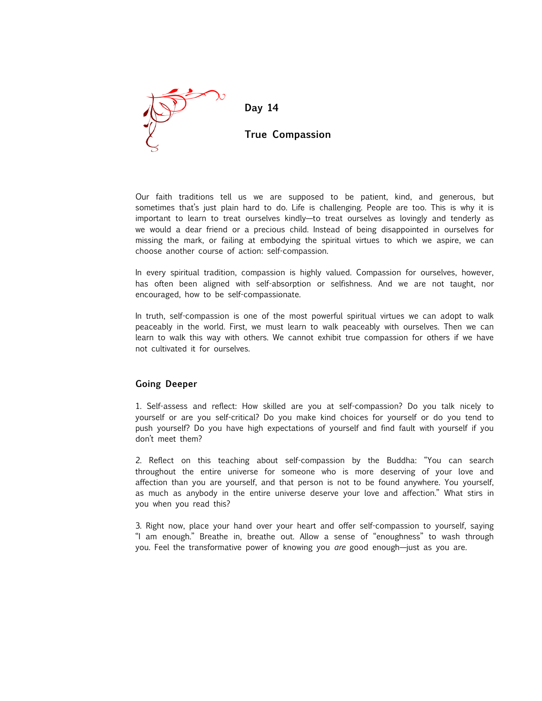

Our faith traditions tell us we are supposed to be patient, kind, and generous, but sometimes that's just plain hard to do. Life is challenging. People are too. This is why it is important to learn to treat ourselves kindly—to treat ourselves as lovingly and tenderly as we would a dear friend or a precious child. Instead of being disappointed in ourselves for missing the mark, or failing at embodying the spiritual virtues to which we aspire, we can choose another course of action: self-compassion.

In every spiritual tradition, compassion is highly valued. Compassion for ourselves, however, has often been aligned with self-absorption or selfishness. And we are not taught, nor encouraged, how to be self-compassionate.

In truth, self-compassion is one of the most powerful spiritual virtues we can adopt to walk peaceably in the world. First, we must learn to walk peaceably with ourselves. Then we can learn to walk this way with others. We cannot exhibit true compassion for others if we have not cultivated it for ourselves.

#### **Going Deeper**

1. Self-assess and reflect: How skilled are you at self-compassion? Do you talk nicely to yourself or are you self-critical? Do you make kind choices for yourself or do you tend to push yourself? Do you have high expectations of yourself and find fault with yourself if you don't meet them?

2. Reflect on this teaching about self-compassion by the Buddha: "You can search throughout the entire universe for someone who is more deserving of your love and affection than you are yourself, and that person is not to be found anywhere. You yourself, as much as anybody in the entire universe deserve your love and affection." What stirs in you when you read this?

3. Right now, place your hand over your heart and offer self-compassion to yourself, saying "I am enough." Breathe in, breathe out. Allow a sense of "enoughness" to wash through you. Feel the transformative power of knowing you *are* good enough—just as you are.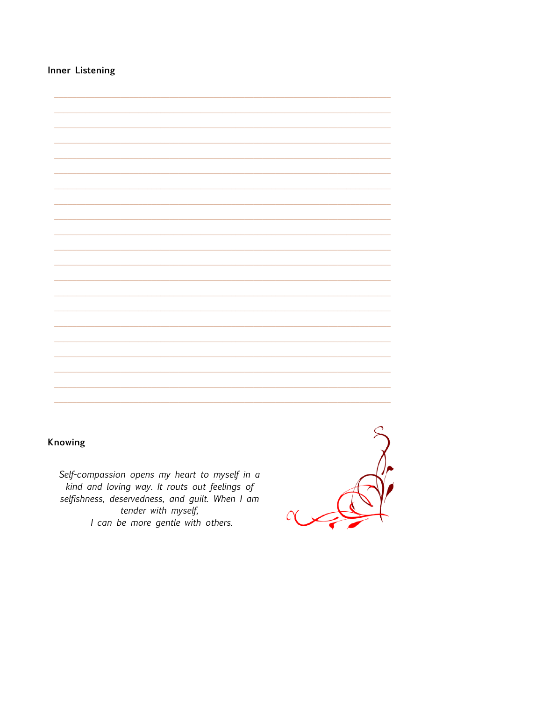Inner Listening

# Knowing

Self-compassion opens my heart to myself in a kind and loving way. It routs out feelings of selfishness, deservedness, and guilt. When I am tender with myself, I can be more gentle with others.

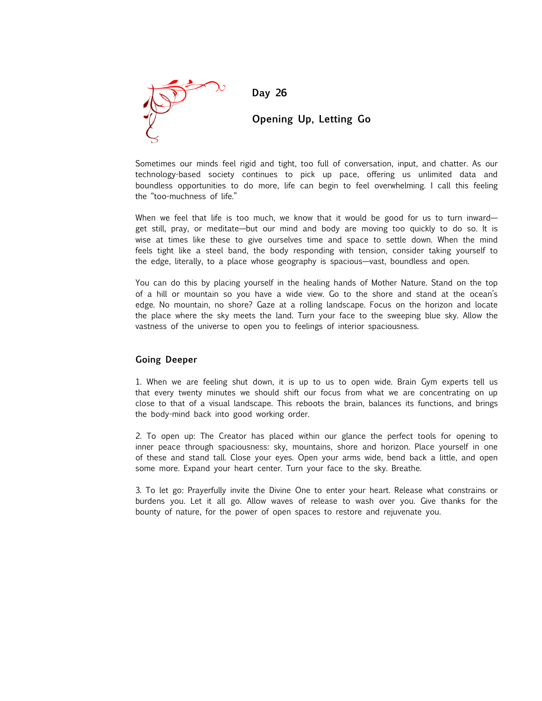

**Day 26**

### **Opening Up, Letting Go**

Sometimes our minds feel rigid and tight, too full of conversation, input, and chatter. As our technology-based society continues to pick up pace, offering us unlimited data and boundless opportunities to do more, life can begin to feel overwhelming. I call this feeling the "too-muchness of life."

When we feel that life is too much, we know that it would be good for us to turn inwardget still, pray, or meditate—but our mind and body are moving too quickly to do so. It is wise at times like these to give ourselves time and space to settle down. When the mind feels tight like a steel band, the body responding with tension, consider taking yourself to the edge, literally, to a place whose geography is spacious—vast, boundless and open.

You can do this by placing yourself in the healing hands of Mother Nature. Stand on the top of a hill or mountain so you have a wide view. Go to the shore and stand at the ocean's edge. No mountain, no shore? Gaze at a rolling landscape. Focus on the horizon and locate the place where the sky meets the land. Turn your face to the sweeping blue sky. Allow the vastness of the universe to open you to feelings of interior spaciousness.

#### **Going Deeper**

1. When we are feeling shut down, it is up to us to open wide. Brain Gym experts tell us that every twenty minutes we should shift our focus from what we are concentrating on up close to that of a visual landscape. This reboots the brain, balances its functions, and brings the body-mind back into good working order.

2. To open up: The Creator has placed within our glance the perfect tools for opening to inner peace through spaciousness: sky, mountains, shore and horizon. Place yourself in one of these and stand tall. Close your eyes. Open your arms wide, bend back a little, and open some more. Expand your heart center. Turn your face to the sky. Breathe.

3. To let go: Prayerfully invite the Divine One to enter your heart. Release what constrains or burdens you. Let it all go. Allow waves of release to wash over you. Give thanks for the bounty of nature, for the power of open spaces to restore and rejuvenate you.